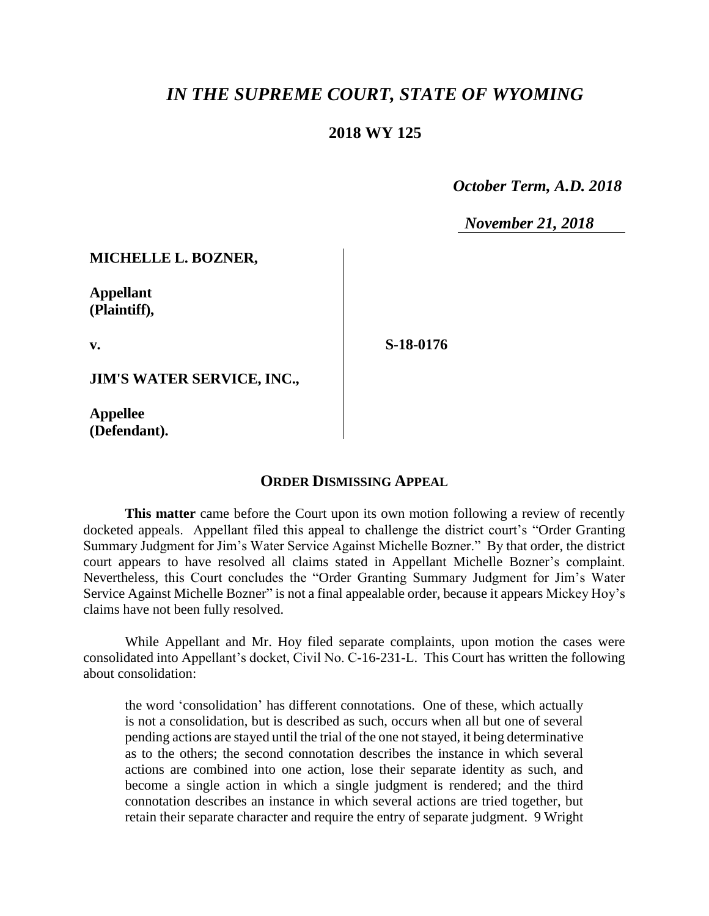# *IN THE SUPREME COURT, STATE OF WYOMING*

## **2018 WY 125**

 *October Term, A.D. 2018*

*November 21, 2018*

#### **MICHELLE L. BOZNER,**

**Appellant (Plaintiff),**

**v.**

**S-18-0176**

**JIM'S WATER SERVICE, INC.,**

**Appellee (Defendant).**

### **ORDER DISMISSING APPEAL**

**This matter** came before the Court upon its own motion following a review of recently docketed appeals. Appellant filed this appeal to challenge the district court's "Order Granting Summary Judgment for Jim's Water Service Against Michelle Bozner." By that order, the district court appears to have resolved all claims stated in Appellant Michelle Bozner's complaint. Nevertheless, this Court concludes the "Order Granting Summary Judgment for Jim's Water Service Against Michelle Bozner" is not a final appealable order, because it appears Mickey Hoy's claims have not been fully resolved.

While Appellant and Mr. Hoy filed separate complaints, upon motion the cases were consolidated into Appellant's docket, Civil No. C-16-231-L. This Court has written the following about consolidation:

the word 'consolidation' has different connotations. One of these, which actually is not a consolidation, but is described as such, occurs when all but one of several pending actions are stayed until the trial of the one not stayed, it being determinative as to the others; the second connotation describes the instance in which several actions are combined into one action, lose their separate identity as such, and become a single action in which a single judgment is rendered; and the third connotation describes an instance in which several actions are tried together, but retain their separate character and require the entry of separate judgment. 9 Wright